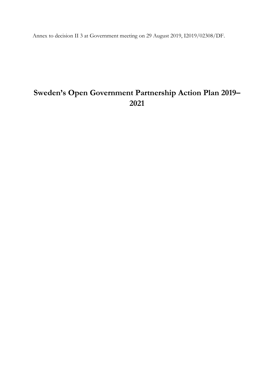Annex to decision II 3 at Government meeting on 29 August 2019, I2019/02308/DF.

# **Sweden's Open Government Partnership Action Plan 2019– 2021**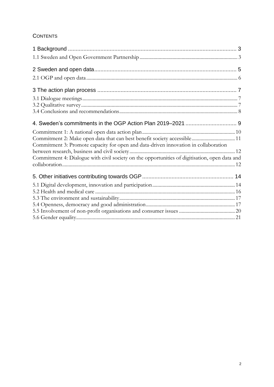# **CONTENTS**

| Commitment 2: Make open data that can best benefit society accessible 11<br>Commitment 3: Promote capacity for open and data-driven innovation in collaboration |  |
|-----------------------------------------------------------------------------------------------------------------------------------------------------------------|--|
| Commitment 4: Dialogue with civil society on the opportunities of digitisation, open data and                                                                   |  |
|                                                                                                                                                                 |  |
|                                                                                                                                                                 |  |
|                                                                                                                                                                 |  |
|                                                                                                                                                                 |  |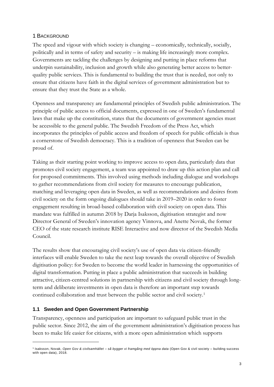#### <span id="page-2-0"></span>1 BACKGROUND

The speed and vigour with which society is changing – economically, technically, socially, politically and in terms of safety and security – is making life increasingly more complex. Governments are tackling the challenges by designing and putting in place reforms that underpin sustainability, inclusion and growth while also generating better access to betterquality public services. This is fundamental to building the trust that is needed, not only to ensure that citizens have faith in the digital services of government administration but to ensure that they trust the State as a whole.

Openness and transparency are fundamental principles of Swedish public administration. The principle of public access to official documents, expressed in one of Sweden's fundamental laws that make up the constitution, states that the documents of government agencies must be accessible to the general public. The Swedish Freedom of the Press Act, which incorporates the principles of public access and freedom of speech for public officials is thus a cornerstone of Swedish democracy. This is a tradition of openness that Sweden can be proud of.

Taking as their starting point working to improve access to open data, particularly data that promotes civil society engagement, a team was appointed to draw up this action plan and call for proposed commitments. This involved using methods including dialogue and workshops to gather recommendations from civil society for measures to encourage publication, matching and leveraging open data in Sweden, as well as recommendations and desires from civil society on the form ongoing dialogues should take in 2019–2020 in order to foster engagement resulting in broad-based collaboration with civil society on open data. This mandate was fulfilled in autumn 2018 by Darja Isaksson, digitisation strategist and now Director General of Sweden's innovation agency Vinnova, and Anette Novak, the former CEO of the state research institute RISE Interactive and now director of the Swedish Media Council.

The results show that encouraging civil society's use of open data via citizen-friendly interfaces will enable Sweden to take the next leap towards the overall objective of Swedish digitisation policy: for Sweden to become the world leader in harnessing the opportunities of digital transformation. Putting in place a public administration that succeeds in building attractive, citizen-centred solutions in partnership with citizens and civil society through longterm and deliberate investments in open data is therefore an important step towards continued collaboration and trust between the public sector and civil society.<sup>1</sup>

# <span id="page-2-1"></span>**1.1 Sweden and Open Government Partnership**

 $\overline{a}$ 

Transparency, openness and participation are important to safeguard public trust in the public sector. Since 2012, the aim of the government administration's digitisation process has been to make life easier for citizens, with a more open administration which supports

<sup>1</sup> Isaksson, Novak, *Open Gov & civilsamhället – så bygger vi framgång med öppna data* (Open Gov & civil society – building success with open data), 2018.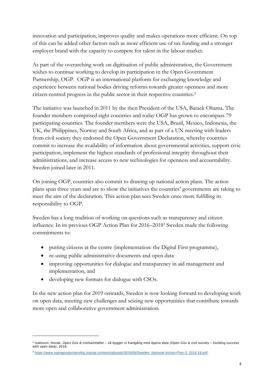innovation and participation, improves quality and makes operations more efficient. On top of this can be added other factors such as more efficient use of tax funding and a stronger employer brand with the capacity to compete for talent in the labour market.

As part of the overarching work on digitisation of public administration, the Government wishes to continue working to develop its participation in the Open Government Partnership, OGP. OGP is an international platform for exchanging knowledge and experience between national bodies driving reforms towards greater openness and more citizen-centred progress in the public sector in their respective countries.<sup>2</sup>

The initiative was launched in 2011 by the then President of the USA, Barack Obama. The founder members comprised eight countries and today OGP has grown to encompass 79 participating countries. The founder members were the USA, Brazil, Mexico, Indonesia, the UK, the Philippines, Norway and South Africa, and as part of a UN meeting with leaders from civil society they endorsed the Open Government Declaration, whereby countries commit to increase the availability of information about governmental activities, support civic participation, implement the highest standards of professional integrity throughout their administrations, and increase access to new technologies for openness and accountability. Sweden joined later in 2011.

On joining OGP, countries also commit to drawing up national action plans. The action plans span three years and are to show the initiatives the countries' governments are taking to meet the aim of the declaration. This action plan sees Sweden once more fulfilling its responsibility to OGP.

Sweden has a long tradition of working on questions such as transparency and citizen influence. In its previous OGP Action Plan for 2016–2018<sup>3</sup> Sweden made the following commitments to:

- putting citizens at the centre (implementation: the Digital First programme),
- re-using public administrative documents and open data
- improving opportunities for dialogue and transparency in aid management and implementation, and
- developing new formats for dialogue with CSOs.

 $\overline{a}$ 

In the new action plan for 2019 onwards, Sweden is now looking forward to developing work on open data, meeting new challenges and seizing new opportunities that contribute towards more open and collaborative government administration.

<sup>2</sup> Isaksson, Novak, *Open Gov & civilsamhället – så bygger vi framgång med öppna data* (Open Gov & civil society – building success with open data), 2018.

<sup>3</sup> [https://www.opengovpartnership.org/wp-content/uploads/2019/06/Sweden\\_National-Action-Plan-3\\_2016-18.pdf.](https://www.opengovpartnership.org/wp-content/uploads/2019/06/Sweden_National-Action-Plan-3_2016-18.pdf)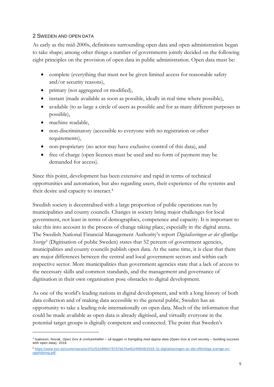#### <span id="page-4-0"></span>2 SWEDEN AND OPEN DATA

As early as the mid-2000s, definitions surrounding open data and open administration began to take shape; among other things a number of governments jointly decided on the following eight principles on the provision of open data in public administration. Open data must be:

- complete (everything that must not be given limited access for reasonable safety and/or security reasons),
- primary (not aggregated or modified),
- instant (made available as soon as possible, ideally in real time where possible),
- available (to as large a circle of users as possible and for as many different purposes as possible),
- machine readable,

 $\overline{a}$ 

- non-discriminatory (accessible to everyone with no registration or other requirements),
- non-proprietary (no actor may have exclusive control of this data), and
- free of charge (open licences must be used and no form of payment may be demanded for access).

Since this point, development has been extensive and rapid in terms of technical opportunities and automation, but also regarding users, their experience of the systems and their desire and capacity to interact.<sup>4</sup>

Swedish society is decentralised with a large proportion of public operations run by municipalities and county councils. Changes in society bring major challenges for local government, not least in terms of demographics, competence and capacity. It is important to take this into account in the process of change taking place, especially in the digital arena. The Swedish National Financial Management Authority's report *Digitaliseringen av det offentliga Sverige*<sup>5</sup> (Digitisation of public Sweden) states that 52 percent of government agencies, municipalities and county councils publish open data. At the same time, it is clear that there are major differences between the central and local government sectors and within each respective sector. More municipalities than government agencies state that a lack of access to the necessary skills and common standards, and the management and governance of digitisation in their own organisation pose obstacles to digital development.

As one of the world's leading nations in digital development, and with a long history of both data collection and of making data accessible to the general public, Sweden has an opportunity to take a leading role internationally on open data. Much of the information that could be made available as open data is already digitised, and virtually everyone in the potential target groups is digitally competent and connected. The point that Sweden's

<sup>4</sup> Isaksson, Novak, *Open Gov & civilsamhället – så bygger vi framgång med öppna data* (Open Gov & civil society – building success with open data), 2018.

<sup>5</sup> [https://www.esv.se/contentassets/2f2cf52e9f66478787bb76a4524f9848/2018-31-digitaliseringen-av-det-offentliga-sverige-en](https://www.esv.se/contentassets/2f2cf52e9f66478787bb76a4524f9848/2018-31-digitaliseringen-av-det-offentliga-sverige-en-uppfoljning.pdf)[uppfoljning.pdf.](https://www.esv.se/contentassets/2f2cf52e9f66478787bb76a4524f9848/2018-31-digitaliseringen-av-det-offentliga-sverige-en-uppfoljning.pdf)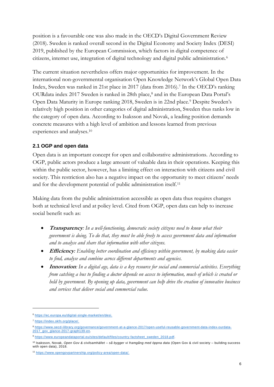position is a favourable one was also made in the OECD's Digital Government Review (2018). Sweden is ranked overall second in the Digital Economy and Society Index (DESI) 2019, published by the European Commission, which factors in digital competence of citizens, internet use, integration of digital technology and digital public administration.<sup>6</sup>

The current situation nevertheless offers major opportunities for improvement. In the international non-governmental organisation Open Knowledge Network's Global Open Data Index, Sweden was ranked in 21st place in 2017 (data from 2016).<sup>7</sup> In the OECD's ranking OURdata index 2017 Sweden is ranked in 28th place,<sup>8</sup> and in the European Data Portal's Open Data Maturity in Europe ranking 2018, Sweden is in 22nd place.<sup>9</sup> Despite Sweden's relatively high position in other categories of digital administration, Sweden thus ranks low in the category of open data. According to Isaksson and Novak, a leading position demands concrete measures with a high level of ambition and lessons learned from previous experiences and analyses.<sup>10</sup>

# <span id="page-5-0"></span>**2.1 OGP and open data**

Open data is an important concept for open and collaborative administrations. According to OGP, public actors produce a large amount of valuable data in their operations. Keeping this within the public sector, however, has a limiting effect on interaction with citizens and civil society. This restriction also has a negative impact on the opportunity to meet citizens' needs and for the development potential of public administration itself.<sup>11</sup>

Making data from the public administration accessible as open data thus requires changes both at technical level and at policy level. Cited from OGP, open data can help to increase social benefit such as:

- **Transparency***: In a well-functioning, democratic society citizens need to know what their government is doing. To do that, they must be able freely to access government data and information and to analyse and share that information with other citizens.*
- **Efficiency***: Enabling better coordination and efficiency within government, by making data easier to find, analyse and combine across different departments and agencies.*
- **Innovation***: In a digital age, data is a key resource for social and commercial activities. Everything from catching a bus to finding a doctor depends on access to information, much of which is created or held by government. By opening up data, government can help drive the creation of innovative business and services that deliver social and commercial value.*

<sup>6</sup> [https://ec.europa.eu/digital-single-market/en/desi.](https://ec.europa.eu/digital-single-market/en/desi)

<sup>7</sup> [https://index.okfn.org/place/.](https://index.okfn.org/place/)

<sup>8</sup> [https://www.oecd-ilibrary.org/governance/government-at-a-glance-2017/open-useful-reusable-government-data-index-ourdata-](https://www.oecd-ilibrary.org/governance/government-at-a-glance-2017/open-useful-reusable-government-data-index-ourdata-2017_gov_glance-2017-graph139-en)[2017\\_gov\\_glance-2017-graph139-en.](https://www.oecd-ilibrary.org/governance/government-at-a-glance-2017/open-useful-reusable-government-data-index-ourdata-2017_gov_glance-2017-graph139-en)

<sup>9</sup> [https://www.europeandataportal.eu/sites/default/files/country-factsheet\\_sweden\\_2018.pdf.](https://www.europeandataportal.eu/sites/default/files/country-factsheet_sweden_2018.pdf)

<sup>10</sup> Isaksson, Novak, *Open Gov & civilsamhället – så bygger vi framgång med öppna data* (Open Gov & civil society – building success with open data), 2018.

<sup>11</sup> [https://www.opengovpartnership.org/policy-area/open-data/.](https://www.opengovpartnership.org/policy-area/open-data/)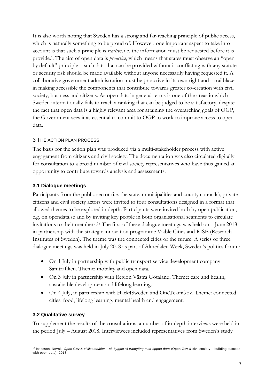It is also worth noting that Sweden has a strong and far-reaching principle of public access, which is naturally something to be proud of. However, one important aspect to take into account is that such a principle is *reactive*, i.e. the information must be requested before it is provided. The aim of open data is *proactive*, which means that states must observe an "open by default" principle – such data that can be provided without it conflicting with any statute or security risk should be made available without anyone necessarily having requested it. A collaborative government administration must be proactive in its own right and a trailblazer in making accessible the components that contribute towards greater co-creation with civil society, business and citizens. As open data in general terms is one of the areas in which Sweden internationally fails to reach a ranking that can be judged to be satisfactory, despite the fact that open data is a highly relevant area for attaining the overarching goals of OGP, the Government sees it as essential to commit to OGP to work to improve access to open data.

#### <span id="page-6-0"></span>3 THE ACTION PLAN PROCESS

The basis for the action plan was produced via a multi-stakeholder process with active engagement from citizens and civil society. The documentation was also circulated digitally for consultation to a broad number of civil society representatives who have thus gained an opportunity to contribute towards analysis and assessments.

#### <span id="page-6-1"></span>**3.1 Dialogue meetings**

Participants from the public sector (i.e. the state, municipalities and county councils), private citizens and civil society actors were invited to four consultations designed in a format that allowed themes to be explored in depth. Participants were invited both by open publication, e.g. on opendata.se and by inviting key people in both organisational segments to circulate invitations to their members.<sup>12</sup> The first of these dialogue meetings was held on 1 June 2018 in partnership with the strategic innovation programme Viable Cities and RISE (Research Institutes of Sweden). The theme was the connected cities of the future. A series of three dialogue meetings was held in July 2018 as part of Almedalen Week, Sweden's politics forum:

- On 1 July in partnership with public transport service development company Samtrafiken. Theme: mobility and open data.
- On 3 July in partnership with Region Västra Götaland. Theme: care and health, sustainable development and lifelong learning.
- On 4 July, in partnership with Hack4Sweden and OneTeamGov. Theme: connected cities, food, lifelong learning, mental health and engagement.

# <span id="page-6-2"></span>**3.2 Qualitative survey**

 $\overline{a}$ 

To supplement the results of the consultations, a number of in-depth interviews were held in the period July – August 2018. Interviewees included representatives from Sweden's study

<sup>12</sup> Isaksson, Novak, *Open Gov & civilsamhället – så bygger vi framgång med öppna data* (Open Gov & civil society – building success with open data), 2018.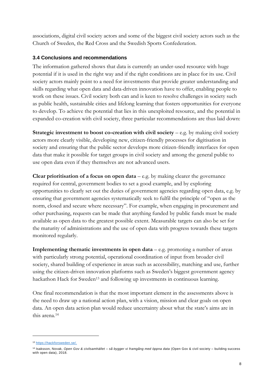associations, digital civil society actors and some of the biggest civil society actors such as the Church of Sweden, the Red Cross and the Swedish Sports Confederation.

## <span id="page-7-0"></span>**3.4 Conclusions and recommendations**

The information gathered shows that data is currently an under-used resource with huge potential if it is used in the right way and if the right conditions are in place for its use. Civil society actors mainly point to a need for investments that provide greater understanding and skills regarding what open data and data-driven innovation have to offer, enabling people to work on these issues. Civil society both can and is keen to resolve challenges in society such as public health, sustainable cities and lifelong learning that fosters opportunities for everyone to develop. To achieve the potential that lies in this unexploited resource, and the potential in expanded co-creation with civil society, three particular recommendations are thus laid down:

**Strategic investment to boost co-creation with civil society – e.g. by making civil society** actors more clearly visible, developing new, citizen-friendly processes for digitisation in society and ensuring that the public sector develops more citizen-friendly interfaces for open data that make it possible for target groups in civil society and among the general public to use open data even if they themselves are not advanced users.

**Clear prioritisation of a focus on open data**  $-$  e.g. by making clearer the governance required for central, government bodies to set a good example, and by exploring opportunities to clearly set out the duties of government agencies regarding open data, e.g. by ensuring that government agencies systematically seek to fulfil the principle of "open as the norm, closed and secure where necessary". For example, when engaging in procurement and other purchasing, requests can be made that anything funded by public funds must be made available as open data to the greatest possible extent. Measurable targets can also be set for the maturity of administrations and the use of open data with progress towards these targets monitored regularly.

**Implementing thematic investments in open data** – e.g. promoting a number of areas with particularly strong potential, operational coordination of input from broader civil society, shared building of experience in areas such as accessibility, matching and use, further using the citizen-driven innovation platforms such as Sweden's biggest government agency hackathon Hack for Sweden<sup>13</sup> and following up investments in continuous learning.

One final recommendation is that the most important element in the assessments above is the need to draw up a national action plan, with a vision, mission and clear goals on open data. An open data action plan would reduce uncertainty about what the state's aims are in this arena.<sup>14</sup>

<sup>13</sup> [https://hackforsweden.se/.](https://hackforsweden.se/)

<sup>14</sup> Isaksson, Novak, *Open Gov & civilsamhället – så bygger vi framgång med öppna data* (Open Gov & civil society – building success with open data), 2018.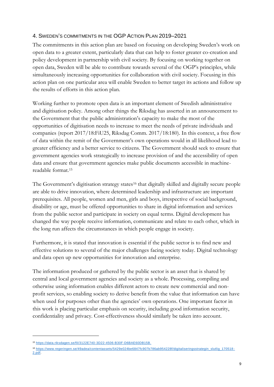## <span id="page-8-0"></span>4. SWEDEN'S COMMITMENTS IN THE OGP ACTION PLAN 2019–2021

The commitments in this action plan are based on focusing on developing Sweden's work on open data to a greater extent, particularly data that can help to foster greater co-creation and policy development in partnership with civil society. By focusing on working together on open data, Sweden will be able to contribute towards several of the OGP's principles, while simultaneously increasing opportunities for collaboration with civil society. Focusing in this action plan on one particular area will enable Sweden to better target its actions and follow up the results of efforts in this action plan.

Working further to promote open data is an important element of Swedish administrative and digitisation policy. Among other things the Riksdag has asserted in an announcement to the Government that the public administration's capacity to make the most of the opportunities of digitisation needs to increase to meet the needs of private individuals and companies (report 2017/18:FiU25, Riksdag Comm. 2017/18:180). In this context, a free flow of data within the remit of the Government's own operations would in all likelihood lead to greater efficiency and a better service to citizens. The Government should seek to ensure that government agencies work strategically to increase provision of and the accessibility of open data and ensure that government agencies make public documents accessible in machinereadable format.<sup>15</sup>

The Government's digitisation strategy states<sup>16</sup> that digitally skilled and digitally secure people are able to drive innovation, where determined leadership and infrastructure are important prerequisites. All people, women and men, girls and boys, irrespective of social background, disability or age, must be offered opportunities to share in digital information and services from the public sector and participate in society on equal terms. Digital development has changed the way people receive information, communicate and relate to each other, which in the long run affects the circumstances in which people engage in society.

Furthermore, it is stated that innovation is essential if the public sector is to find new and effective solutions to several of the major challenges facing society today. Digital technology and data open up new opportunities for innovation and enterprise.

The information produced or gathered by the public sector is an asset that is shared by central and local government agencies and society as a whole. Processing, compiling and otherwise using information enables different actors to create new commercial and nonprofit services, so enabling society to derive benefit from the value that information can have when used for purposes other than the agencies' own operations. One important factor in this work is placing particular emphasis on security, including good information security, confidentiality and privacy. Cost-effectiveness should similarly be taken into account.

<sup>15</sup> [https://data.riksdagen.se/fil/3122E740-3D22-4506-B30F-D6BAE60DB15B.](https://data.riksdagen.se/fil/3122E740-3D22-4506-B30F-D6BAE60DB15B) 

<sup>16</sup> [https://www.regeringen.se/49adea/contentassets/5429e024be6847fc907b786ab954228f/digitaliseringsstrategin\\_slutlig\\_170518](https://www.regeringen.se/49adea/contentassets/5429e024be6847fc907b786ab954228f/digitaliseringsstrategin_slutlig_170518-2.pdf) -[2.pdf.](https://www.regeringen.se/49adea/contentassets/5429e024be6847fc907b786ab954228f/digitaliseringsstrategin_slutlig_170518-2.pdf)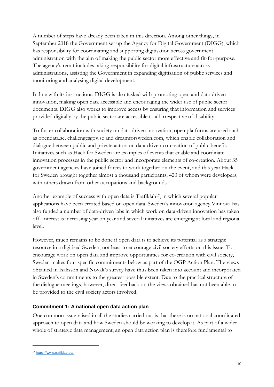A number of steps have already been taken in this direction. Among other things, in September 2018 the Government set up the Agency for Digital Government (DIGG), which has responsibility for coordinating and supporting digitisation across government administration with the aim of making the public sector more effective and fit-for-purpose. The agency's remit includes taking responsibility for digital infrastructure across administrations, assisting the Government in expanding digitisation of public services and monitoring and analysing digital development.

In line with its instructions, DIGG is also tasked with promoting open and data-driven innovation, making open data accessible and encouraging the wider use of public sector documents. DIGG also works to improve access by ensuring that information and services provided digitally by the public sector are accessible to all irrespective of disability.

To foster collaboration with society on data-driven innovation, open platforms are used such as opendata.se, challengesgov.se and dreamforsweden.com, which enable collaboration and dialogue between public and private actors on data-driven co-creation of public benefit. Initiatives such as Hack for Sweden are examples of events that enable and coordinate innovation processes in the public sector and incorporate elements of co-creation. About 35 government agencies have joined forces to work together on the event, and this year Hack for Sweden brought together almost a thousand participants, 420 of whom were developers, with others drawn from other occupations and backgrounds.

Another example of success with open data is Trafiklab<sup>17</sup>, in which several popular applications have been created based on open data. Sweden's innovation agency Vinnova has also funded a number of data-driven labs in which work on data-driven innovation has taken off. Interest is increasing year on year and several initiatives are emerging at local and regional level.

However, much remains to be done if open data is to achieve its potential as a strategic resource in a digitised Sweden, not least to encourage civil society efforts on this issue. To encourage work on open data and improve opportunities for co-creation with civil society, Sweden makes four specific commitments below as part of the OGP Action Plan. The views obtained in Isaksson and Novak's survey have thus been taken into account and incorporated in Sweden's commitments to the greatest possible extent. Due to the practical structure of the dialogue meetings, however, direct feedback on the views obtained has not been able to be provided to the civil society actors involved.

# <span id="page-9-0"></span>**Commitment 1: A national open data action plan**

One common issue raised in all the studies carried out is that there is no national coordinated approach to open data and how Sweden should be working to develop it. As part of a wider whole of strategic data management, an open data action plan is therefore fundamental to

<sup>17</sup> [https://www.trafiklab.se/.](https://www.trafiklab.se/)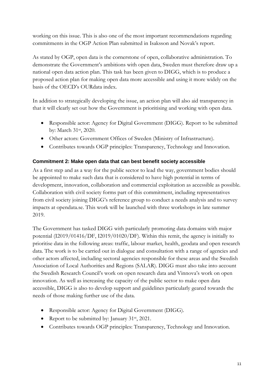working on this issue. This is also one of the most important recommendations regarding commitments in the OGP Action Plan submitted in Isaksson and Novak's report.

As stated by OGP, open data is the cornerstone of open, collaborative administration. To demonstrate the Government's ambitions with open data, Sweden must therefore draw up a national open data action plan. This task has been given to DIGG, which is to produce a proposed action plan for making open data more accessible and using it more widely on the basis of the OECD's OURdata index.

In addition to strategically developing the issue, an action plan will also aid transparency in that it will clearly set out how the Government is prioritising and working with open data.

- Responsible actor: Agency for Digital Government (DIGG). Report to be submitted by: March 31<sup>st</sup>, 2020.
- Other actors: Government Offices of Sweden (Ministry of Infrastructure).
- Contributes towards OGP principles: Transparency, Technology and Innovation.

#### <span id="page-10-0"></span>**Commitment 2: Make open data that can best benefit society accessible**

As a first step and as a way for the public sector to lead the way, government bodies should be appointed to make such data that is considered to have high potential in terms of development, innovation, collaboration and commercial exploitation as accessible as possible. Collaboration with civil society forms part of this commitment, including representatives from civil society joining DIGG's reference group to conduct a needs analysis and to survey impacts at opendata.se. This work will be launched with three workshops in late summer 2019.

The Government has tasked DIGG with particularly promoting data domains with major potential (I2019/01416/DF, I2019/01020/DF). Within this remit, the agency is initially to prioritise data in the following areas: traffic, labour market, health, geodata and open research data. The work is to be carried out in dialogue and consultation with a range of agencies and other actors affected, including sectoral agencies responsible for these areas and the Swedish Association of Local Authorities and Regions (SALAR). DIGG must also take into account the Swedish Research Council's work on open research data and Vinnova's work on open innovation. As well as increasing the capacity of the public sector to make open data accessible, DIGG is also to develop support and guidelines particularly geared towards the needs of those making further use of the data.

- Responsible actor: Agency for Digital Government (DIGG).
- Report to be submitted by: January 31<sup>st</sup>, 2021.
- Contributes towards OGP principles: Transparency, Technology and Innovation.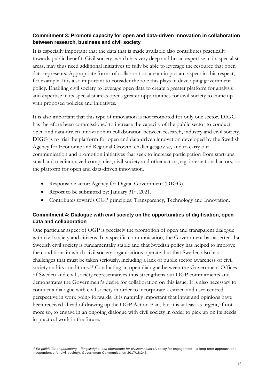## <span id="page-11-0"></span>**Commitment 3: Promote capacity for open and data-driven innovation in collaboration between research, business and civil society**

It is especially important that the data that is made available also contributes practically towards public benefit. Civil society, which has very deep and broad expertise in its specialist areas, may thus need additional initiatives to fully be able to leverage the resource that open data represents. Appropriate forms of collaboration are an important aspect in this respect, for example. It is also important to consider the role this plays in developing government policy. Enabling civil society to leverage open data to create a greater platform for analysis and expertise in its specialist areas opens greater opportunities for civil society to come up with proposed policies and initiatives.

It is also important that this type of innovation is not promoted for only one sector. DIGG has therefore been commissioned to increase the capacity of the public sector to conduct open and data-driven innovation in collaboration between research, industry and civil society. DIGG is to trial the platform for open and data-driven innovation developed by the Swedish Agency for Economic and Regional Growth: challengesgov.se, and to carry out communication and promotion initiatives that seek to increase participation from start-ups, small and medium-sized companies, civil society and other actors, e.g. international actors, on the platform for open and data-driven innovation.

- Responsible actor: Agency for Digital Government (DIGG).
- Report to be submitted by: January 31<sup>st</sup>, 2021.

 $\overline{a}$ 

• Contributes towards OGP principles: Transparency, Technology and Innovation.

# <span id="page-11-1"></span>**Commitment 4: Dialogue with civil society on the opportunities of digitisation, open data and collaboration**

One particular aspect of OGP is precisely the promotion of open and transparent dialogue with civil society and citizens. In a specific communication, the Government has asserted that Swedish civil society is fundamentally stable and that Swedish policy has helped to improve the conditions in which civil society organisations operate, but that Sweden also has challenges that must be taken seriously, including a lack of public sector awareness of civil society and its conditions.<sup>18</sup> Conducting an open dialogue between the Government Offices of Sweden and civil society representatives thus strengthens our OGP commitments and demonstrates the Government's desire for collaboration on this issue. It is also necessary to conduct a dialogue with civil society in order to incorporate a citizen and user-centred perspective in work going forwards. It is naturally important that input and opinions have been received ahead of drawing up the OGP Action Plan, but it is at least as urgent, if not more so, to engage in an ongoing dialogue with civil society in order to pick up on its needs in practical work in the future.

<sup>&</sup>lt;sup>18</sup> En politik för engagemang – långsiktighet och oberoende för civilsamhället (A policy for engagement – a long-term approach and independence for civil society), Government Communication 2017/18:246.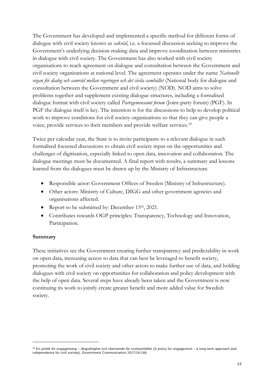The Government has developed and implemented a specific method for different forms of dialogue with civil society known as *sakråd*, i.e. a focussed discussion seeking to improve the Government's underlying decision-making data and improve coordination between ministries in dialogue with civil society. The Government has also worked with civil society organisations to reach agreement on dialogue and consultation between the Government and civil society organisations at national level. The agreement operates under the name *Nationellt organ för dialog och samråd mellan regeringen och det civila samhället* (National body for dialogue and consultation between the Government and civil society) (NOD). NOD aims to solve problems together and supplement existing dialogue structures, including a formalised dialogue format with civil society called *Partsgemensamt forum* (Joint-party forum) (PGF). In PGF the dialogue itself is key. The intention is for the discussions to help to develop political work to improve conditions for civil society organisations so that they can give people a voice, provide services to their members and provide welfare services.<sup>19</sup>

Twice per calendar year, the State is to invite participants to a relevant dialogue in such formalised focussed discussions to obtain civil society input on the opportunities and challenges of digitisation, especially linked to open data, innovation and collaboration. The dialogue meetings must be documented. A final report with results, a summary and lessons learned from the dialogues must be drawn up by the Ministry of Infrastructure.

- Responsible actor: Government Offices of Sweden (Ministry of Infrastructure).
- Other actors: Ministry of Culture, DIGG and other government agencies and organisations affected.
- Report to be submitted by: December 15<sup>th</sup>, 2021.
- Contributes towards OGP principles: Transparency, Technology and Innovation, Participation.

#### **Summary**

 $\overline{a}$ 

These initiatives see the Government creating further transparency and predictability in work on open data, increasing access to data that can best be leveraged to benefit society, promoting the work of civil society and other actors to make further use of data, and holding dialogues with civil society on opportunities for collaboration and policy development with the help of open data. Several steps have already been taken and the Government is now continuing its work to jointly create greater benefit and more added value for Swedish society.

<sup>&</sup>lt;sup>19</sup> En politik för engagemang – långsiktighet och oberoende för civilsamhället (A policy for engagement – a long-term approach and independence for civil society), Government Communication 2017/18:246.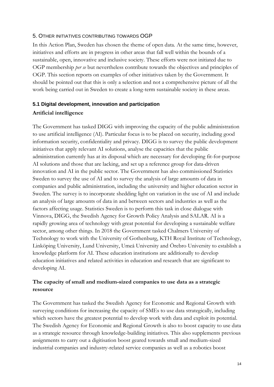#### <span id="page-13-0"></span>5. OTHER INITIATIVES CONTRIBUTING TOWARDS OGP

In this Action Plan, Sweden has chosen the theme of open data. At the same time, however, initiatives and efforts are in progress in other areas that fall well within the bounds of a sustainable, open, innovative and inclusive society. These efforts were not initiated due to OGP membership *per se* but nevertheless contribute towards the objectives and principles of OGP. This section reports on examples of other initiatives taken by the Government. It should be pointed out that this is only a selection and not a comprehensive picture of all the work being carried out in Sweden to create a long-term sustainable society in these areas.

# <span id="page-13-1"></span>**5.1 Digital development, innovation and participation**

# **Artificial intelligence**

The Government has tasked DIGG with improving the capacity of the public administration to use artificial intelligence (AI). Particular focus is to be placed on security, including good information security, confidentiality and privacy. DIGG is to survey the public development initiatives that apply relevant AI solutions, analyse the capacities that the public administration currently has at its disposal which are necessary for developing fit-for-purpose AI solutions and those that are lacking, and set up a reference group for data-driven innovation and AI in the public sector. The Government has also commissioned Statistics Sweden to survey the use of AI and to survey the analysis of large amounts of data in companies and public administration, including the university and higher education sector in Sweden. The survey is to incorporate shedding light on variation in the use of AI and include an analysis of large amounts of data in and between sectors and industries as well as the factors affecting usage. Statistics Sweden is to perform this task in close dialogue with Vinnova, DIGG, the Swedish Agency for Growth Policy Analysis and SALAR. AI is a rapidly growing area of technology with great potential for developing a sustainable welfare sector, among other things. In 2018 the Government tasked Chalmers University of Technology to work with the University of Gothenburg, KTH Royal Institute of Technology, Linköping University, Lund University, Umeå University and Örebro University to establish a knowledge platform for AI. These education institutions are additionally to develop education initiatives and related activities in education and research that are significant to developing AI.

# **The capacity of small and medium-sized companies to use data as a strategic resource**

The Government has tasked the Swedish Agency for Economic and Regional Growth with surveying conditions for increasing the capacity of SMEs to use data strategically, including which sectors have the greatest potential to develop work with data and exploit its potential. The Swedish Agency for Economic and Regional Growth is also to boost capacity to use data as a strategic resource through knowledge-building initiatives. This also supplements previous assignments to carry out a digitisation boost geared towards small and medium-sized industrial companies and industry-related service companies as well as a robotics boost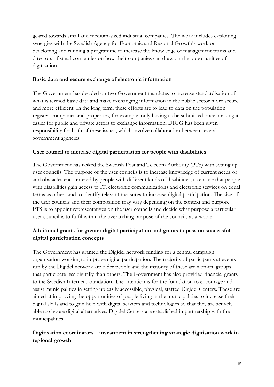geared towards small and medium-sized industrial companies. The work includes exploiting synergies with the Swedish Agency for Economic and Regional Growth's work on developing and running a programme to increase the knowledge of management teams and directors of small companies on how their companies can draw on the opportunities of digitisation.

## **Basic data and secure exchange of electronic information**

The Government has decided on two Government mandates to increase standardisation of what is termed basic data and make exchanging information in the public sector more secure and more efficient. In the long term, these efforts are to lead to data on the population register, companies and properties, for example, only having to be submitted once, making it easier for public and private actors to exchange information. DIGG has been given responsibility for both of these issues, which involve collaboration between several government agencies.

#### **User council to increase digital participation for people with disabilities**

The Government has tasked the Swedish Post and Telecom Authority (PTS) with setting up user councils. The purpose of the user councils is to increase knowledge of current needs of and obstacles encountered by people with different kinds of disabilities, to ensure that people with disabilities gain access to IT, electronic communications and electronic services on equal terms as others and to identify relevant measures to increase digital participation. The size of the user councils and their composition may vary depending on the context and purpose. PTS is to appoint representatives on the user councils and decide what purpose a particular user council is to fulfil within the overarching purpose of the councils as a whole.

# **Additional grants for greater digital participation and grants to pass on successful digital participation concepts**

The Government has granted the Digidel network funding for a central campaign organisation working to improve digital participation. The majority of participants at events run by the Digidel network are older people and the majority of these are women; groups that participate less digitally than others. The Government has also provided financial grants to the Swedish Internet Foundation. The intention is for the foundation to encourage and assist municipalities in setting up easily accessible, physical, staffed Digidel Centers. These are aimed at improving the opportunities of people living in the municipalities to increase their digital skills and to gain help with digital services and technologies so that they are actively able to choose digital alternatives. Digidel Centers are established in partnership with the municipalities.

# **Digitisation coordinators – investment in strengthening strategic digitisation work in regional growth**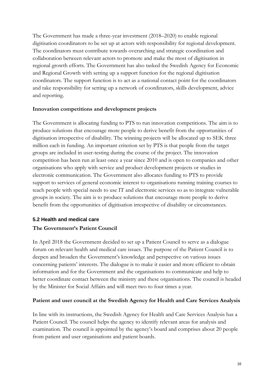The Government has made a three-year investment (2018–2020) to enable regional digitisation coordinators to be set up at actors with responsibility for regional development. The coordinators must contribute towards overarching and strategic coordination and collaboration between relevant actors to promote and make the most of digitisation in regional growth efforts. The Government has also tasked the Swedish Agency for Economic and Regional Growth with setting up a support function for the regional digitisation coordinators. The support function is to act as a national contact point for the coordinators and take responsibility for setting up a network of coordinators, skills development, advice and reporting.

#### **Innovation competitions and development projects**

The Government is allocating funding to PTS to run innovation competitions. The aim is to produce solutions that encourage more people to derive benefit from the opportunities of digitisation irrespective of disability. The winning projects will be allocated up to SEK three million each in funding. An important criterion set by PTS is that people from the target groups are included in user-testing during the course of the project. The innovation competition has been run at least once a year since 2010 and is open to companies and other organisations who apply with service and product development projects or studies in electronic communication. The Government also allocates funding to PTS to provide support to services of general economic interest to organisations running training courses to teach people with special needs to use IT and electronic services so as to integrate vulnerable groups in society. The aim is to produce solutions that encourage more people to derive benefit from the opportunities of digitisation irrespective of disability or circumstances.

#### <span id="page-15-0"></span>**5.2 Health and medical care**

#### **The Government's Patient Council**

In April 2018 the Government decided to set up a Patient Council to serve as a dialogue forum on relevant health and medical care issues. The purpose of the Patient Council is to deepen and broaden the Government's knowledge and perspective on various issues concerning patients' interests. The dialogue is to make it easier and more efficient to obtain information and for the Government and the organisations to communicate and help to better coordinate contact between the ministry and these organisations. The council is headed by the Minister for Social Affairs and will meet two to four times a year.

#### **Patient and user council at the Swedish Agency for Health and Care Services Analysis**

In line with its instructions, the Swedish Agency for Health and Care Services Analysis has a Patient Council. The council helps the agency to identify relevant areas for analysis and examination. The council is appointed by the agency's board and comprises about 20 people from patient and user organisations and patient boards.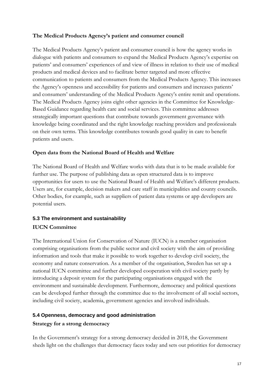# **The Medical Products Agency's patient and consumer council**

The Medical Products Agency's patient and consumer council is how the agency works in dialogue with patients and consumers to expand the Medical Products Agency's expertise on patients' and consumers' experiences of and view of illness in relation to their use of medical products and medical devices and to facilitate better targeted and more effective communication to patients and consumers from the Medical Products Agency. This increases the Agency's openness and accessibility for patients and consumers and increases patients' and consumers' understanding of the Medical Products Agency's entire remit and operations. The Medical Products Agency joins eight other agencies in the Committee for Knowledge-Based Guidance regarding health care and social services. This committee addresses strategically important questions that contribute towards government governance with knowledge being coordinated and the right knowledge reaching providers and professionals on their own terms. This knowledge contributes towards good quality in care to benefit patients and users.

#### **Open data from the National Board of Health and Welfare**

The National Board of Health and Welfare works with data that is to be made available for further use. The purpose of publishing data as open structured data is to improve opportunities for users to use the National Board of Health and Welfare's different products. Users are, for example, decision makers and care staff in municipalities and county councils. Other bodies, for example, such as suppliers of patient data systems or app developers are potential users.

# <span id="page-16-0"></span>**5.3 The environment and sustainability IUCN Committee**

The International Union for Conservation of Nature (IUCN) is a member organisation comprising organisations from the public sector and civil society with the aim of providing information and tools that make it possible to work together to develop civil society, the economy and nature conservation. As a member of the organisation, Sweden has set up a national IUCN committee and further developed cooperation with civil society partly by introducing a deposit system for the participating organisations engaged with the environment and sustainable development. Furthermore, democracy and political questions can be developed further through the committee due to the involvement of all social sectors, including civil society, academia, government agencies and involved individuals.

#### <span id="page-16-1"></span>**5.4 Openness, democracy and good administration**

#### **Strategy for a strong democracy**

In the Government's strategy for a strong democracy decided in 2018, the Government sheds light on the challenges that democracy faces today and sets out priorities for democracy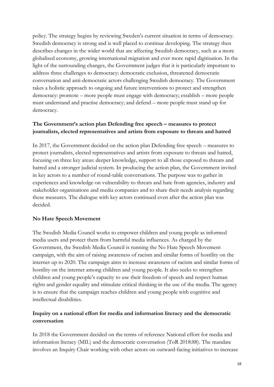policy. The strategy begins by reviewing Sweden's current situation in terms of democracy. Swedish democracy is strong and is well placed to continue developing. The strategy then describes changes in the wider world that are affecting Swedish democracy, such as a more globalised economy, growing international migration and ever more rapid digitisation. In the light of the surrounding changes, the Government judges that it is particularly important to address three challenges to democracy: democratic exclusion, threatened democratic conversation and anti-democratic actors challenging Swedish democracy. The Government takes a holistic approach to ongoing and future interventions to protect and strengthen democracy: promote – more people must engage with democracy; establish – more people must understand and practise democracy; and defend – more people must stand up for democracy.

# **The Government's action plan Defending free speech – measures to protect journalists, elected representatives and artists from exposure to threats and hatred**

In 2017, the Government decided on the action plan Defending free speech – measures to protect journalists, elected representatives and artists from exposure to threats and hatred, focusing on three key areas: deeper knowledge, support to all those exposed to threats and hatred and a stronger judicial system. In producing the action plan, the Government invited in key actors to a number of round-table conversations. The purpose was to gather in experiences and knowledge on vulnerability to threats and hate from agencies, industry and stakeholder organisations and media companies and to share their needs analysis regarding these measures. The dialogue with key actors continued even after the action plan was decided.

# **No Hate Speech Movement**

The Swedish Media Council works to empower children and young people as informed media users and protect them from harmful media influences. As charged by the Government, the Swedish Media Council is running the No Hate Speech Movement campaign, with the aim of raising awareness of racism and similar forms of hostility on the internet up to 2020. The campaign aims to increase awareness of racism and similar forms of hostility on the internet among children and young people. It also seeks to strengthen children and young people's capacity to use their freedom of speech and respect human rights and gender equality and stimulate critical thinking in the use of the media. The agency is to ensure that the campaign reaches children and young people with cognitive and intellectual disabilities.

# **Inquiry on a national effort for media and information literacy and the democratic conversation**

In 2018 the Government decided on the terms of reference National effort for media and information literacy (MIL) and the democratic conversation (ToR 2018:88). The mandate involves an Inquiry Chair working with other actors on outward-facing initiatives to increase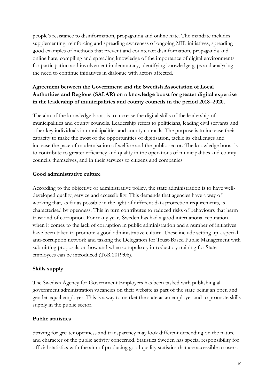people's resistance to disinformation, propaganda and online hate. The mandate includes supplementing, reinforcing and spreading awareness of ongoing MIL initiatives, spreading good examples of methods that prevent and counteract disinformation, propaganda and online hate, compiling and spreading knowledge of the importance of digital environments for participation and involvement in democracy, identifying knowledge gaps and analysing the need to continue initiatives in dialogue with actors affected.

# **Agreement between the Government and the Swedish Association of Local Authorities and Regions (SALAR) on a knowledge boost for greater digital expertise in the leadership of municipalities and county councils in the period 2018–2020.**

The aim of the knowledge boost is to increase the digital skills of the leadership of municipalities and county councils. Leadership refers to politicians, leading civil servants and other key individuals in municipalities and county councils. The purpose is to increase their capacity to make the most of the opportunities of digitisation, tackle its challenges and increase the pace of modernisation of welfare and the public sector. The knowledge boost is to contribute to greater efficiency and quality in the operations of municipalities and county councils themselves, and in their services to citizens and companies.

# **Good administrative culture**

According to the objective of administrative policy, the state administration is to have welldeveloped quality, service and accessibility. This demands that agencies have a way of working that, as far as possible in the light of different data protection requirements, is characterised by openness. This in turn contributes to reduced risks of behaviours that harm trust and of corruption. For many years Sweden has had a good international reputation when it comes to the lack of corruption in public administration and a number of initiatives have been taken to promote a good administrative culture. These include setting up a special anti-corruption network and tasking the Delegation for Trust-Based Public Management with submitting proposals on how and when compulsory introductory training for State employees can be introduced (ToR 2019:06).

# **Skills supply**

The Swedish Agency for Government Employers has been tasked with publishing all government administration vacancies on their website as part of the state being an open and gender-equal employer. This is a way to market the state as an employer and to promote skills supply in the public sector.

#### **Public statistics**

Striving for greater openness and transparency may look different depending on the nature and character of the public activity concerned. Statistics Sweden has special responsibility for official statistics with the aim of producing good quality statistics that are accessible to users.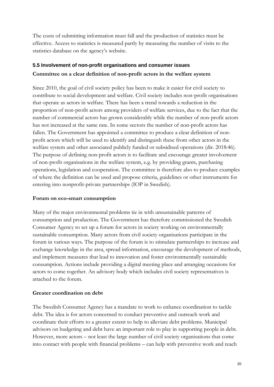The costs of submitting information must fall and the production of statistics must be effective. Access to statistics is measured partly by measuring the number of visits to the statistics database on the agency's website.

# <span id="page-19-0"></span>**5.5 Involvement of non-profit organisations and consumer issues Committee on a clear definition of non-profit actors in the welfare system**

Since 2010, the goal of civil society policy has been to make it easier for civil society to contribute to social development and welfare. Civil society includes non-profit organisations that operate as actors in welfare. There has been a trend towards a reduction in the proportion of non-profit actors among providers of welfare services, due to the fact that the number of commercial actors has grown considerably while the number of non-profit actors has not increased at the same rate. In some sectors the number of non-profit actors has fallen. The Government has appointed a committee to produce a clear definition of nonprofit actors which will be used to identify and distinguish these from other actors in the welfare system and other associated publicly funded or subsidised operations (dir. 2018:46). The purpose of defining non-profit actors is to facilitate and encourage greater involvement of non-profit organisations in the welfare system, e.g. by providing grants, purchasing operations, legislation and cooperation. The committee is therefore also to produce examples of where the definition can be used and propose criteria, guidelines or other instruments for entering into nonprofit-private partnerships (IOP in Swedish).

#### **Forum on eco-smart consumption**

Many of the major environmental problems tie in with unsustainable patterns of consumption and production. The Government has therefore commissioned the Swedish Consumer Agency to set up a forum for actors in society working on environmentally sustainable consumption. Many actors from civil society organisations participate in the forum in various ways. The purpose of the forum is to stimulate partnerships to increase and exchange knowledge in the area, spread information, encourage the development of methods, and implement measures that lead to innovation and foster environmentally sustainable consumption. Actions include providing a digital meeting place and arranging occasions for actors to come together. An advisory body which includes civil society representatives is attached to the forum.

#### **Greater coordination on debt**

The Swedish Consumer Agency has a mandate to work to enhance coordination to tackle debt. The idea is for actors concerned to conduct preventive and outreach work and coordinate their efforts to a greater extent to help to alleviate debt problems. Municipal advisors on budgeting and debt have an important role to play in supporting people in debt. However, more actors – not least the large number of civil society organisations that come into contact with people with financial problems – can help with preventive work and reach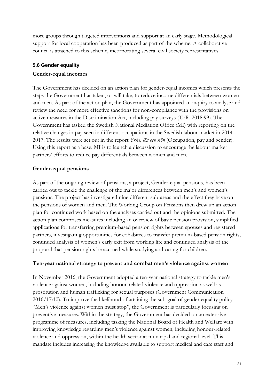more groups through targeted interventions and support at an early stage. Methodological support for local cooperation has been produced as part of the scheme. A collaborative council is attached to this scheme, incorporating several civil society representatives.

# <span id="page-20-0"></span>**5.6 Gender equality**

# **Gender-equal incomes**

The Government has decided on an action plan for gender-equal incomes which presents the steps the Government has taken, or will take, to reduce income differentials between women and men. As part of the action plan, the Government has appointed an inquiry to analyse and review the need for more effective sanctions for non-compliance with the provisions on active measures in the Discrimination Act, including pay surveys (ToR. 2018:99). The Government has tasked the Swedish National Mediation Office (MI) with reporting on the relative changes in pay seen in different occupations in the Swedish labour market in 2014– 2017. The results were set out in the report *Yrke, lön och kön* (Occupation, pay and gender). Using this report as a base, MI is to launch a discussion to encourage the labour market partners' efforts to reduce pay differentials between women and men.

# **Gender-equal pensions**

As part of the ongoing review of pensions, a project, Gender-equal pensions, has been carried out to tackle the challenge of the major differences between men's and women's pensions. The project has investigated nine different sub-areas and the effect they have on the pensions of women and men. The Working Group on Pensions then drew up an action plan for continued work based on the analyses carried out and the opinions submitted. The action plan comprises measures including an overview of basic pension provision, simplified applications for transferring premium-based pension rights between spouses and registered partners, investigating opportunities for cohabitees to transfer premium-based pension rights, continued analysis of women's early exit from working life and continued analysis of the proposal that pension rights be accrued while studying and caring for children.

# **Ten-year national strategy to prevent and combat men's violence against women**

In November 2016, the Government adopted a ten-year national strategy to tackle men's violence against women, including honour-related violence and oppression as well as prostitution and human trafficking for sexual purposes (Government Communication 2016/17:10). To improve the likelihood of attaining the sub-goal of gender equality policy "Men's violence against women must stop", the Government is particularly focusing on preventive measures. Within the strategy, the Government has decided on an extensive programme of measures, including tasking the National Board of Health and Welfare with improving knowledge regarding men's violence against women, including honour-related violence and oppression, within the health sector at municipal and regional level. This mandate includes increasing the knowledge available to support medical and care staff and